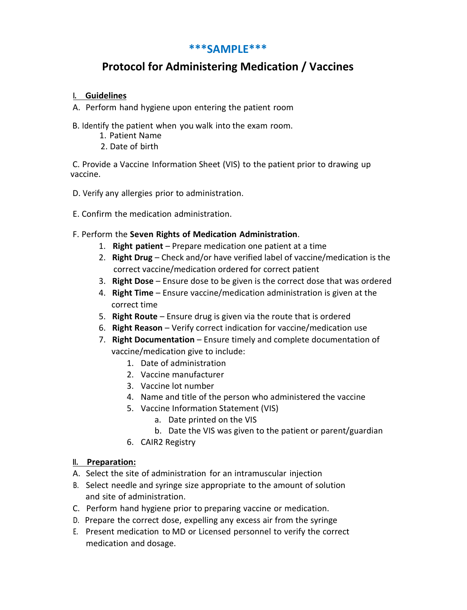## **\*\*\*SAMPLE\*\*\***

# **Protocol for Administering Medication / Vaccines**

### **I. Guidelines**

- A. Perform hand hygiene upon entering the patient room
- B. Identify the patient when you walk into the exam room.
	- 1. Patient Name
	- 2. Date of birth

C. Provide a Vaccine Information Sheet (VIS) to the patient prior to drawing up vaccine.

- D. Verify any allergies prior to administration.
- E. Confirm the medication administration.

### F. Perform the **Seven Rights of Medication Administration**.

- 1. **Right patient** Prepare medication one patient at a time
- 2. **Right Drug** Check and/or have verified label of vaccine/medication is the correct vaccine/medication ordered for correct patient
- 3. **Right Dose** Ensure dose to be given is the correct dose that was ordered
- 4. **Right Time** Ensure vaccine/medication administration is given at the correct time
- 5. **Right Route** Ensure drug is given via the route that is ordered
- 6. **Right Reason** Verify correct indication for vaccine/medication use
- 7. **Right Documentation** Ensure timely and complete documentation of vaccine/medication give to include:
	- 1. Date of administration
	- 2. Vaccine manufacturer
	- 3. Vaccine lot number
	- 4. Name and title of the person who administered the vaccine
	- 5. Vaccine Information Statement (VIS)
		- a. Date printed on the VIS
		- b. Date the VIS was given to the patient or parent/guardian
	- 6. CAIR2 Registry

#### **II. Preparation:**

- A. Select the site of administration for an intramuscular injection
- B. Select needle and syringe size appropriate to the amount of solution and site of administration.
- C. Perform hand hygiene prior to preparing vaccine or medication.
- D. Prepare the correct dose, expelling any excess air from the syringe
- E. Present medication to MD or Licensed personnel to verify the correct medication and dosage.